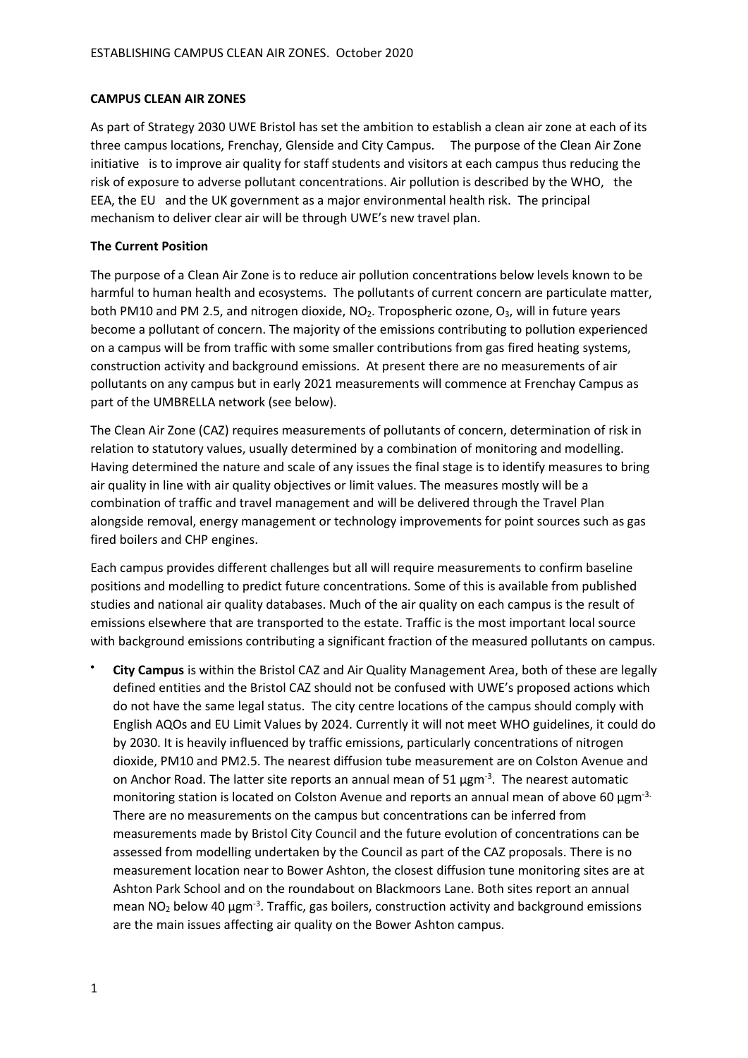### **CAMPUS CLEAN AIR ZONES**

As part of Strategy 2030 UWE Bristol has set the ambition to establish a clean air zone at each of its three campus locations, Frenchay, Glenside and City Campus. The purpose of the Clean Air Zone initiative is to improve air quality for staff students and visitors at each campus thus reducing the risk of exposure to adverse pollutant concentrations. Air pollution is described by the WHO, the EEA, the EU and the UK government as a major environmental health risk. The principal mechanism to deliver clear air will be through UWE's new travel plan.

## **The Current Position**

The purpose of a Clean Air Zone is to reduce air pollution concentrations below levels known to be harmful to human health and ecosystems. The pollutants of current concern are particulate matter, both PM10 and PM 2.5, and nitrogen dioxide, NO<sub>2</sub>. Tropospheric ozone, O<sub>3</sub>, will in future years become a pollutant of concern. The majority of the emissions contributing to pollution experienced on a campus will be from traffic with some smaller contributions from gas fired heating systems, construction activity and background emissions. At present there are no measurements of air pollutants on any campus but in early 2021 measurements will commence at Frenchay Campus as part of the UMBRELLA network (see below).

The Clean Air Zone (CAZ) requires measurements of pollutants of concern, determination of risk in relation to statutory values, usually determined by a combination of monitoring and modelling. Having determined the nature and scale of any issues the final stage is to identify measures to bring air quality in line with air quality objectives or limit values. The measures mostly will be a combination of traffic and travel management and will be delivered through the Travel Plan alongside removal, energy management or technology improvements for point sources such as gas fired boilers and CHP engines.

Each campus provides different challenges but all will require measurements to confirm baseline positions and modelling to predict future concentrations. Some of this is available from published studies and national air quality databases. Much of the air quality on each campus is the result of emissions elsewhere that are transported to the estate. Traffic is the most important local source with background emissions contributing a significant fraction of the measured pollutants on campus.

• **City Campus** is within the Bristol CAZ and Air Quality Management Area, both of these are legally defined entities and the Bristol CAZ should not be confused with UWE's proposed actions which do not have the same legal status. The city centre locations of the campus should comply with English AQOs and EU Limit Values by 2024. Currently it will not meet WHO guidelines, it could do by 2030. It is heavily influenced by traffic emissions, particularly concentrations of nitrogen dioxide, PM10 and PM2.5. The nearest diffusion tube measurement are on Colston Avenue and on Anchor Road. The latter site reports an annual mean of 51  $\mu$ gm<sup>-3</sup>. The nearest automatic monitoring station is located on Colston Avenue and reports an annual mean of above 60 μgm<sup>-3.</sup> There are no measurements on the campus but concentrations can be inferred from measurements made by Bristol City Council and the future evolution of concentrations can be assessed from modelling undertaken by the Council as part of the CAZ proposals. There is no measurement location near to Bower Ashton, the closest diffusion tune monitoring sites are at Ashton Park School and on the roundabout on Blackmoors Lane. Both sites report an annual mean  $NO<sub>2</sub>$  below 40  $\mu$ gm<sup>-3</sup>. Traffic, gas boilers, construction activity and background emissions are the main issues affecting air quality on the Bower Ashton campus.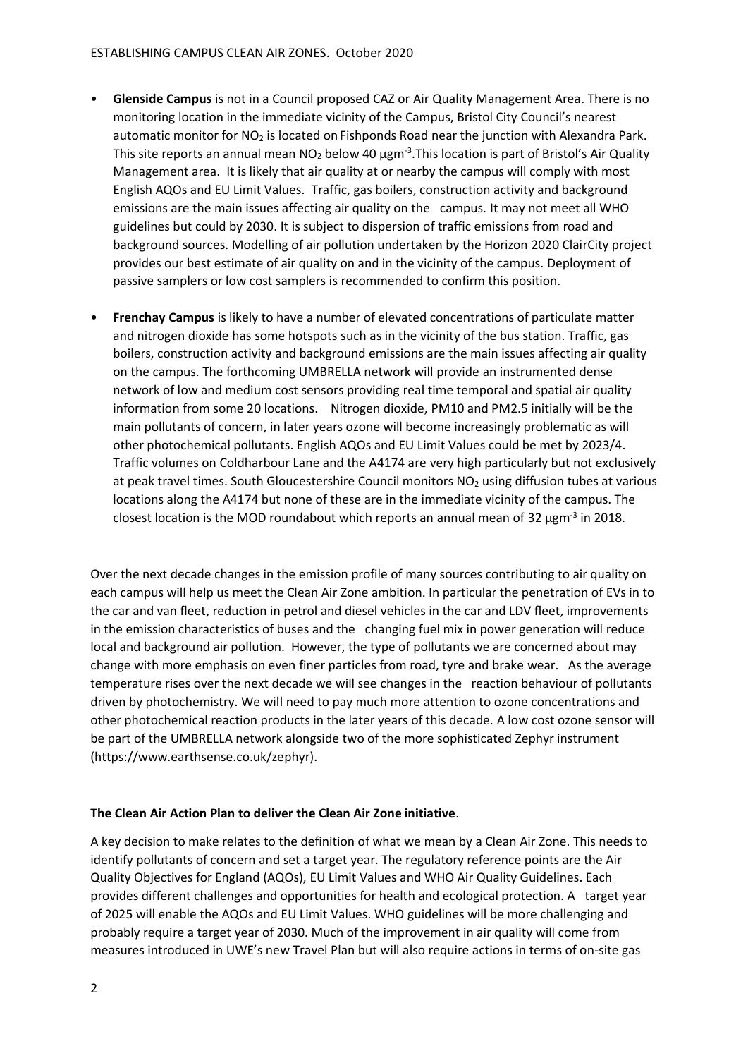- **Glenside Campus** is not in a Council proposed CAZ or Air Quality Management Area. There is no monitoring location in the immediate vicinity of the Campus, Bristol City Council's nearest automatic monitor for  $NO<sub>2</sub>$  is located on Fishponds Road near the junction with Alexandra Park. This site reports an annual mean  $NO<sub>2</sub>$  below 40  $\mu$ gm<sup>-3</sup>. This location is part of Bristol's Air Quality Management area. It is likely that air quality at or nearby the campus will comply with most English AQOs and EU Limit Values. Traffic, gas boilers, construction activity and background emissions are the main issues affecting air quality on the campus. It may not meet all WHO guidelines but could by 2030. It is subject to dispersion of traffic emissions from road and background sources. Modelling of air pollution undertaken by the Horizon 2020 ClairCity project provides our best estimate of air quality on and in the vicinity of the campus. Deployment of passive samplers or low cost samplers is recommended to confirm this position.
- **Frenchay Campus** is likely to have a number of elevated concentrations of particulate matter and nitrogen dioxide has some hotspots such as in the vicinity of the bus station. Traffic, gas boilers, construction activity and background emissions are the main issues affecting air quality on the campus. The forthcoming UMBRELLA network will provide an instrumented dense network of low and medium cost sensors providing real time temporal and spatial air quality information from some 20 locations. Nitrogen dioxide, PM10 and PM2.5 initially will be the main pollutants of concern, in later years ozone will become increasingly problematic as will other photochemical pollutants. English AQOs and EU Limit Values could be met by 2023/4. Traffic volumes on Coldharbour Lane and the A4174 are very high particularly but not exclusively at peak travel times. South Gloucestershire Council monitors  $NO<sub>2</sub>$  using diffusion tubes at various locations along the A4174 but none of these are in the immediate vicinity of the campus. The closest location is the MOD roundabout which reports an annual mean of 32  $\mu$ gm<sup>-3</sup> in 2018.

Over the next decade changes in the emission profile of many sources contributing to air quality on each campus will help us meet the Clean Air Zone ambition. In particular the penetration of EVs in to the car and van fleet, reduction in petrol and diesel vehicles in the car and LDV fleet, improvements in the emission characteristics of buses and the changing fuel mix in power generation will reduce local and background air pollution. However, the type of pollutants we are concerned about may change with more emphasis on even finer particles from road, tyre and brake wear. As the average temperature rises over the next decade we will see changes in the reaction behaviour of pollutants driven by photochemistry. We will need to pay much more attention to ozone concentrations and other photochemical reaction products in the later years of this decade. A low cost ozone sensor will be part of the UMBRELLA network alongside two of the more sophisticated Zephyr instrument (https://www.earthsense.co.uk/zephyr).

### **The Clean Air Action Plan to deliver the Clean Air Zone initiative**.

A key decision to make relates to the definition of what we mean by a Clean Air Zone. This needs to identify pollutants of concern and set a target year. The regulatory reference points are the Air Quality Objectives for England (AQOs), EU Limit Values and WHO Air Quality Guidelines. Each provides different challenges and opportunities for health and ecological protection. A target year of 2025 will enable the AQOs and EU Limit Values. WHO guidelines will be more challenging and probably require a target year of 2030. Much of the improvement in air quality will come from measures introduced in UWE's new Travel Plan but will also require actions in terms of on-site gas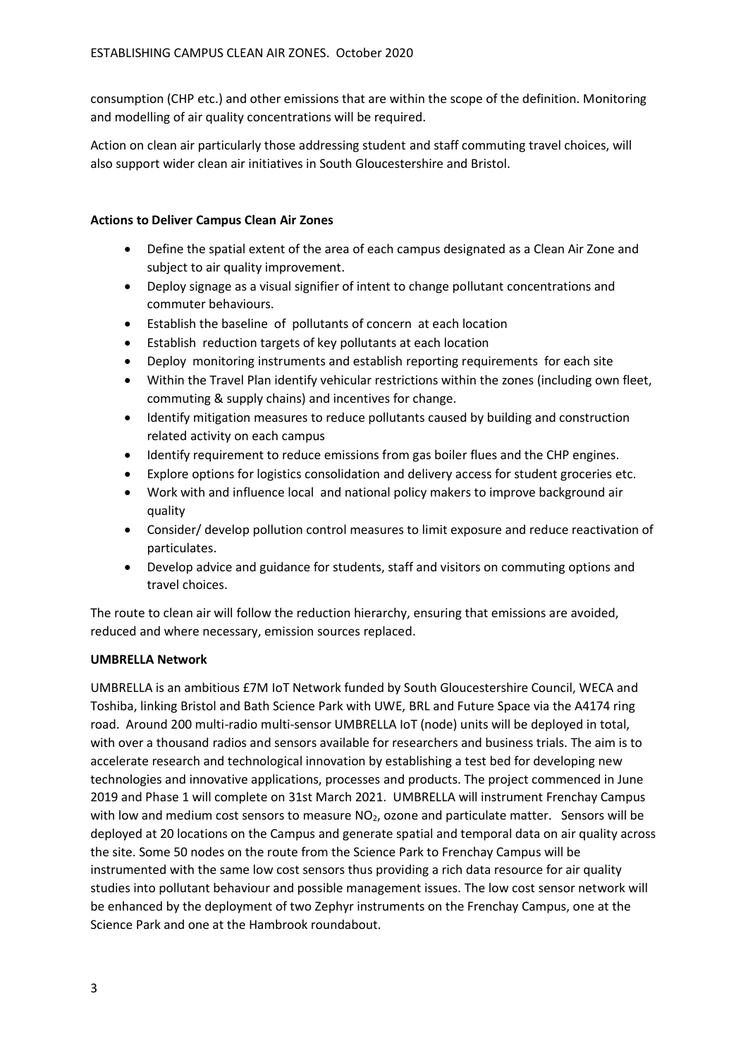consumption (CHP etc.) and other emissions that are within the scope of the definition. Monitoring and modelling of air quality concentrations will be required.

Action on clean air particularly those addressing student and staff commuting travel choices, will also support wider clean air initiatives in South Gloucestershire and Bristol.

# **Actions to Deliver Campus Clean Air Zones**

- Define the spatial extent of the area of each campus designated as a Clean Air Zone and subject to air quality improvement.
- Deploy signage as a visual signifier of intent to change pollutant concentrations and commuter behaviours.
- Establish the baseline of pollutants of concern at each location
- Establish reduction targets of key pollutants at each location
- Deploy monitoring instruments and establish reporting requirements for each site
- Within the Travel Plan identify vehicular restrictions within the zones (including own fleet, commuting & supply chains) and incentives for change.
- Identify mitigation measures to reduce pollutants caused by building and construction related activity on each campus
- Identify requirement to reduce emissions from gas boiler flues and the CHP engines.
- Explore options for logistics consolidation and delivery access for student groceries etc.
- Work with and influence local and national policy makers to improve background air quality
- Consider/ develop pollution control measures to limit exposure and reduce reactivation of particulates.
- Develop advice and guidance for students, staff and visitors on commuting options and travel choices.

The route to clean air will follow the reduction hierarchy, ensuring that emissions are avoided, reduced and where necessary, emission sources replaced.

# **UMBRELLA Network**

UMBRELLA is an ambitious £7M IoT Network funded by South Gloucestershire Council, WECA and Toshiba, linking Bristol and Bath Science Park with UWE, BRL and Future Space via the A4174 ring road. Around 200 multi-radio multi-sensor UMBRELLA IoT (node) units will be deployed in total, with over a thousand radios and sensors available for researchers and business trials. The aim is to accelerate research and technological innovation by establishing a test bed for developing new technologies and innovative applications, processes and products. The project commenced in June 2019 and Phase 1 will complete on 31st March 2021. UMBRELLA will instrument Frenchay Campus with low and medium cost sensors to measure  $NO<sub>2</sub>$ , ozone and particulate matter. Sensors will be deployed at 20 locations on the Campus and generate spatial and temporal data on air quality across the site. Some 50 nodes on the route from the Science Park to Frenchay Campus will be instrumented with the same low cost sensors thus providing a rich data resource for air quality studies into pollutant behaviour and possible management issues. The low cost sensor network will be enhanced by the deployment of two Zephyr instruments on the Frenchay Campus, one at the Science Park and one at the Hambrook roundabout.